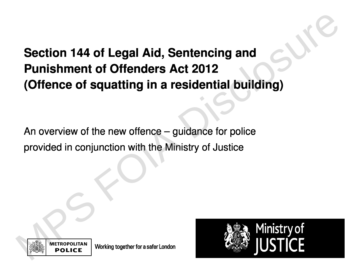# **Section 144 of Legal Aid**, **Sentencing and Punishment of Offenders Act 2012** (Offence of squatting in a residential building) Section 144 of Legal Aid, Sentencing and<br>
Punishment of Offenders Act 2012<br>
(Offence of squatting in a residential building)<br>
An overview of the new offence – guidance for police<br>
provided in conjunction with the Ministry

An overview of the new offence **-** guidance for police provided in conjunction with the Ministry of Justice



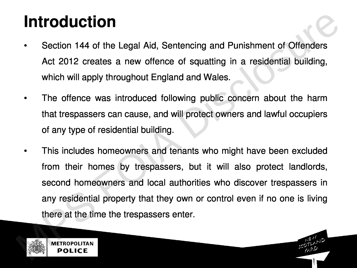#### Introduction

- **Section 144 of the Legal Aid** , **Sentencing and Punishment of Offender s Act 2012 creates a new offence of squatting in a residential building** , **which will apply throughout England and Wales** .
- The offence was introduced following public concern about the harm **that trespassers can cause** , **and will protect owners and lawful occupier s of any type of residential building** .
- This includes homeowners and tenants who might have been excluded **from their homes by trespassers**, **but it will also protect landlords**, **second homeowners and local authorities who discover trespassers in any residential property that they own or control even if no one is living there at the time the trespassers enter** . **Introduction**<br>
Section 144 of the Legal Aid, Sentencing and Punishment of Offenders<br>
Act 2012 creates a new offence of squatting in a residential building,<br>
which will apply throughout England and Wales.<br>
The offence was

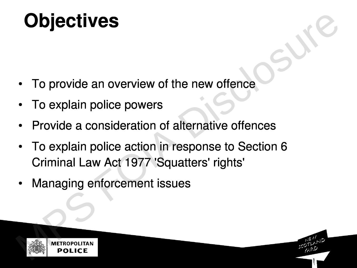# **Objectives**

- To provide an overview of the new offence
- **Fo explain police powers**
- **Provide a consideration of alternative offences**
- **•** To explain police action in response to Section 6 Criminal Law Act 1977 'Squatters' rights' **follogiers**<br> **Follogiers**<br> **Follogiers**<br> **For explain police powers**<br> **For explain police action of alternative offences**<br> **Follogiers**<br> **Follogiers**<br> **POLICE**<br> **POLICE**
- **•** Managing enforcement issues

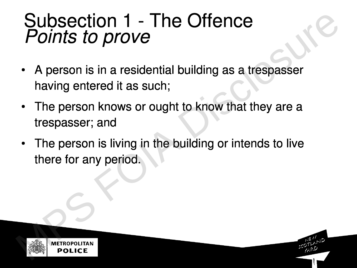#### Subsection 1 **-** The Offence Points to prove

- A person is in a residential building as a trespasser **having entered it as such** ;
- **•** The person knows or ought to know that they are a **trespasser** ; **and**
- **The person is living in the building or intends to live there for any period**. **Subsection 1 - The Offence**<br> **Points to prove**<br>
• A person is in a residential building as a trespasser<br>
having entered it as such;<br>
• The person knows or ought to know that they are a<br>
trespasser; and<br>
• The person is li

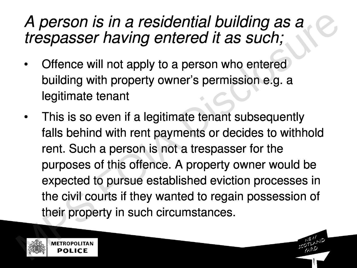#### **A** p**erson is in a residential** building as a **tres**p**asser** having **entered it as such** ;

- Offence will not apply to a person who entered **building with property owner** '**s permission e** .**g**. **a legitimate tenant**
- **•** This is so even if a legitimate tenant subsequently falls behind with rent payments or decides to withhold **rent**. **Such a person is not a trespasser for the purposes of this offence** . **A property owner would be expected to pursue established eviction processes in the civil courts if they wanted to regain possession of their property in such circumstances** . *A person is in a residential building as a*<br>*trespasser having entered it as such;*<br>• Offence will not apply to a person who entered<br>building with property owner's permission e.g. a<br>legitimate tenant<br>**This is so even if a**

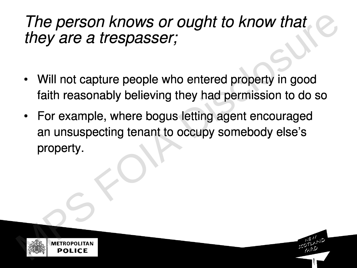#### The person knows or ought to know that they are a trespasser;

- **•** Will not capture people who entered property in good faith reasonably believing they had permission to do so
- **•** For example, where bogus letting agent encouraged **an unsuspecting tenant to occupy somebody else** '**s property**. The person knows or ought to know that<br>they are a trespasser;<br>• Will not capture people who entered property in good<br>faith reasonably believing they had permission to do so<br>• For example, where bogus letting agent encourag

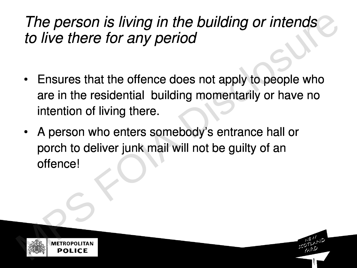#### The person is living in the building or intends to live there for any period

- Ensures that the offence does not apply to people who are in the residential building momentarily or have no **intention of living there** . The person is living in the building or intends<br>to live there for any period<br>• Ensures that the offence does not apply to people who<br>are in the residential building momentarily or have no<br>intention of living there.<br>• A per
	- **A person who enters somebody** '**s entrance hall or** porch to deliver junk mail will not be guilty of an offence !

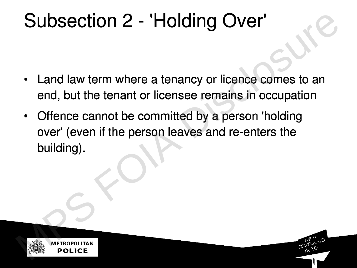## Subsection 2 - 'Holding Over'

- **•** Land law term where a tenancy or licence comes to an end, but the tenant or licensee remains in occupation
- Offence cannot be committed by a person 'holding over' (even if the person leaves and re-enters the building) . **Subsection 2 - 'Holding Over'**<br>
Land law term where a tenancy or licence comes to an<br>
end, but the tenant or licensee remains in occupation<br>
• Offence cannot be committed by a person 'holding<br>
over' (even if the person le

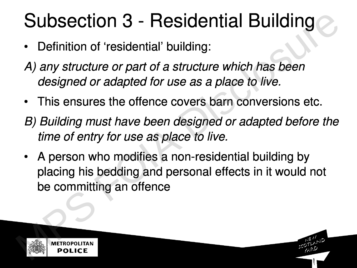# Subsection 3 **-** Residential Building

- **Definition of** ` **residential** ' **building** :
- A) any structure or part of a structure which has been designed or adapted for use as a place to live.
- **This ensures the offence covers barn conversions etc** .
- **B) Building must** have **been designed or adapted before the time of entry for use as place to live**.
- A person who modifies a non-residential building by placing his bedding and personal effects in it would not be committing an offence **Subsection 3 - Residential Building**<br>
• Definition of 'residential' building:<br>
A) any structure or part of a structure which has been<br>
designed or adapted for use as a place to live.<br>
• This ensures the offence covers bar

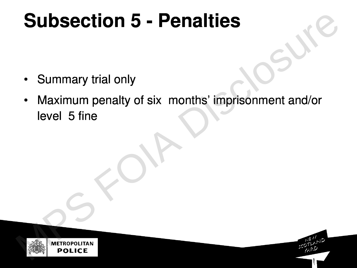# **Subsection 5 - Penalties**

- Summary trial only
- **Maximum penalty of six months** ' **imprisonment and**/**o <sup>r</sup>** level 5 fine **Subsection 5 - Penalties**<br>
• Summary trial only<br>
• Maximum penalty of six months' imprisonment and/or<br>
level 5 fine<br>
• POLICE



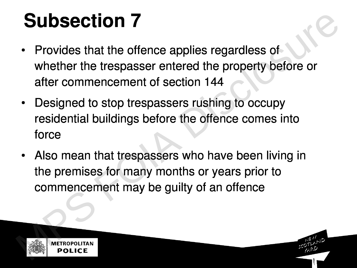# Subsection 7

- **•** Provides that the offence applies regardless of whether the trespasser entered the property before or after commencement of section 144 **Subsection 7**<br>
• Provides that the offence applies regardless of<br>
whether the trespasser entered the property before or<br>
after commencement of section 144<br>
• Designed to stop trespassers rushing to occupy<br>
residential bui
	- **•** Designed to stop trespassers rushing to occupy residential buildings before the offence comes into force
	- Also mean that trespassers who have been living in the premises for many months or years prior to commencement may be guilty of an offence

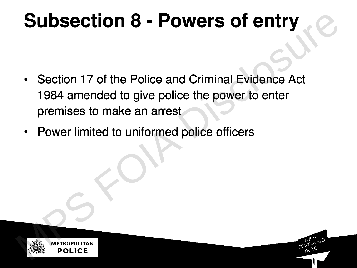# Subsection 8 - Powers of entry

- Section 17 of the Police and Criminal Evidence Act 1984 amended to give police the power to enter premises to make an arrest **Subsection 8 - Powers of entry**<br>
• Section 17 of the Police and Criminal Evidence Act<br>
1984 amended to give police the power to enter<br>
premises to make an arrest<br>
• Power limited to uniformed police officers<br>
Pour limited
	- **•** Power limited to uniformed police officers

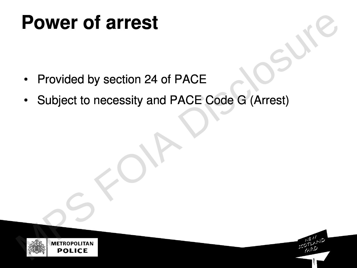# **P**ower of arrest

- Provided by section 24 of PACE
- Subject to necessity and PACE Code G (Arrest) **Forded by section 24 of PACE**<br>
• Subject to necessity and PACE Code G (Arrest)<br>
• Subject to necessity and PACE Code G (Arrest)

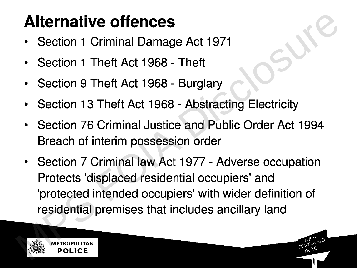## Alternative offences

- Section 1 Criminal Damage Act 1971
- **•** Section 1 Theft Act 1968 Theft
- **•** Section 9 Theft Act 1968 Burglary
- Section 13 Theft Act 1968 Abstracting Electricity
- Section 76 Criminal Justice and Public Order Act 1994 Breach of interim possession order
- Section 7 Criminal law Act 1977 Adverse occupation Protects 'displaced residential occupiers' and 'protected intended occupiers' with wider definition of residential premises that includes ancillary land **Alternative offences**<br>
• Section 1 Criminal Damage Act 1971<br>
• Section 1 Theft Act 1968 - Theft<br>
• Section 9 Theft Act 1968 - Burglary<br>
• Section 13 Theft Act 1968 - Abstracting Electricity<br>
• Section 76 Criminal Justice

METROPOLITAN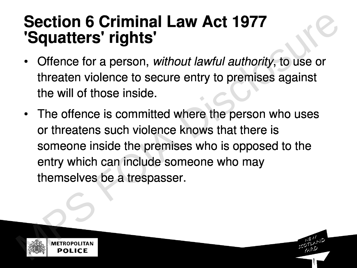#### Section 6 Criminal Law Act 1977 'Squatters' rights'

- Offence for a person, without lawful authority, to use or threaten violence to secure entry to premises against **the will of those inside** .
- The offence is committed where the person who uses or threatens such violence knows that there is someone inside the premises who is opposed to the entry which can include someone who may **themselves be a trespasser**. **Section 6 Criminal Law Act 1977**<br> **Squatters' rights'**<br>
• Offence for a person, without lawful authority, to use or<br>
threaten violence to secure entry to premises against<br>
the will of those inside.<br>
• The offence is commi

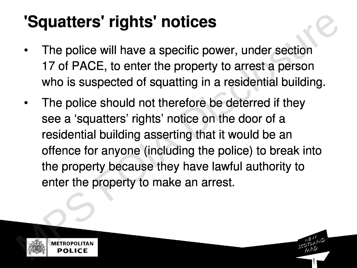## 'Squatters' rights' notices

- The police will have a specific power, under section 17 of PACE, to enter the property to arrest a person who is suspected of squatting in a residential building.
- The police should not therefore be deterred if they **see a** `**squatters**' **rights**' **notice on the door of a residential building asserting that it would be an offence for anyone** ( **including the police**) **to break into the property because they have lawful authority to enter the property to make an arrest**. **Squatters' rights' notices**<br>
The police will have a specific power, under section<br>
17 of PACE, to enter the property to arrest a person<br>
who is suspected of squatting in a residential building.<br>
The police should not ther

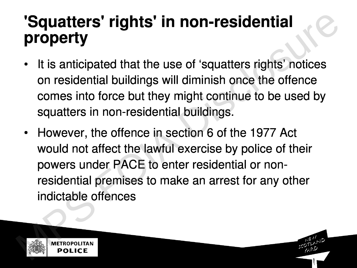#### '**Squatters**' **ri**g**hts**' in **non**-**residential property**

- **It is anticipated that the use of** `**squatters rights**' **notices on residential buildings will diminish once the offence** comes into force but they might continue to be used by **squatters in non** -**residential buildings** .
- **However**, **the offence in section 6 of the 1977 Act would not affect the lawful exercise by police of their powers under PACE to enter residential or non** residential premises to make an arrest for any other indictable offences **Squatters' rights' in non-residential**<br> **property**<br>
It is anticipated that the use of 'squatters rights' notices<br>
on residential buildings will diminish once the offence<br>
comes into force but they might continue to be use

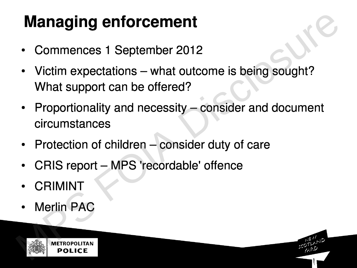## Managing enforcement

- **Commences 1 September 2012**
- Victim expectations what outcome is being sought? What support can be offered?
- Proportionality and necessity consider and document circumstances **Managing enforcement**<br>
• Commences 1 September 2012<br>
• Victim expectations – what outcome is being sought?<br>
What support can be offered?<br>
• Proportionality and necessity – consider and document<br>
circumstances<br>
• Protectio
	- Protection of children consider duty of care
	- CRIS report MPS 'recordable' offence
	- **•** CRIMINT
	- **•** Merlin PAC